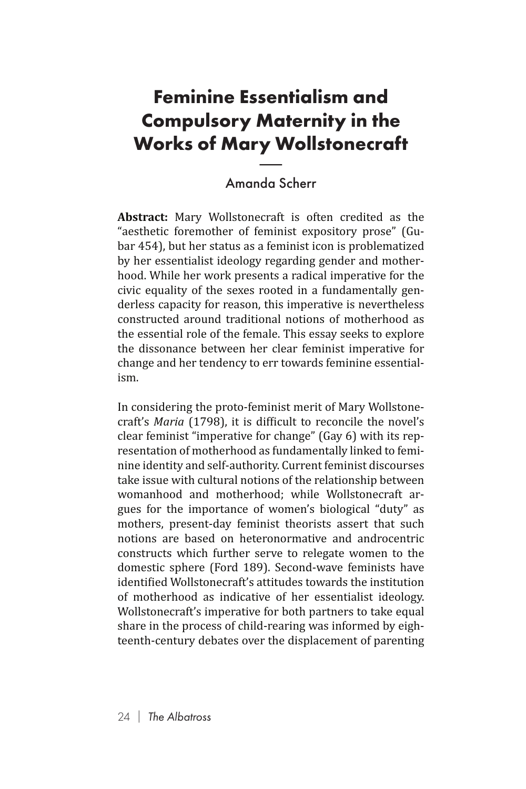## **Feminine Essentialism and Compulsory Maternity in the Works of Mary Wollstonecraft** i**sen<br>Ma**i<br>r**y W**<br>mda S

## Amanda Scherr

**Abstract:** Mary Wollstonecraft is often credited as the "aesthetic foremother of feminist expository prose" (Gubar 454), but her status as a feminist icon is problematized by her essentialist ideology regarding gender and motherhood. While her work presents a radical imperative for the civic equality of the sexes rooted in a fundamentally genderless capacity for reason, this imperative is nevertheless constructed around traditional notions of motherhood as the essential role of the female. This essay seeks to explore the dissonance between her clear feminist imperative for change and her tendency to err towards feminine essentialism.

In considering the proto-feminist merit of Mary Wollstonecraft's *Maria* (1798), it is difficult to reconcile the novel's clear feminist "imperative for change" (Gay 6) with its representation of motherhood as fundamentally linked to feminine identity and self-authority. Current feminist discourses take issue with cultural notions of the relationship between womanhood and motherhood; while Wollstonecraft argues for the importance of women's biological "duty" as mothers, present-day feminist theorists assert that such notions are based on heteronormative and androcentric constructs which further serve to relegate women to the domestic sphere (Ford 189). Second-wave feminists have identified Wollstonecraft's attitudes towards the institution of motherhood as indicative of her essentialist ideology. Wollstonecraft's imperative for both partners to take equal share in the process of child-rearing was informed by eighteenth-century debates over the displacement of parenting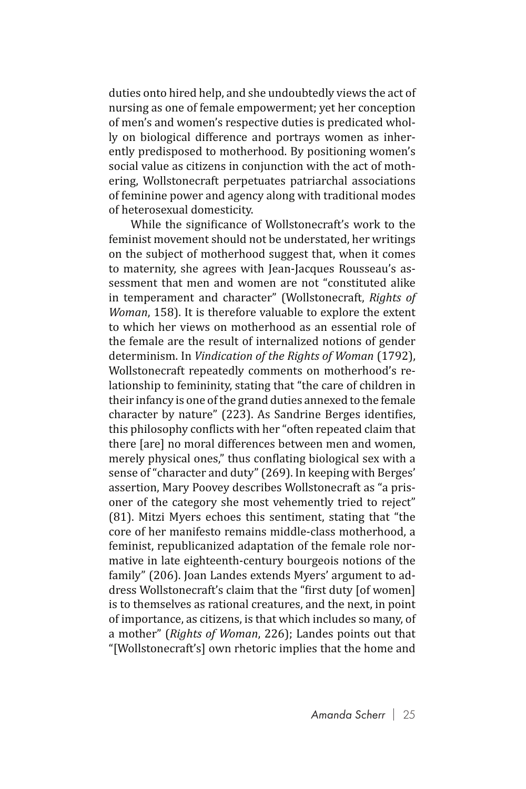duties onto hired help, and she undoubtedly views the act of nursing as one of female empowerment; yet her conception of men's and women's respective duties is predicated wholly on biological difference and portrays women as inherently predisposed to motherhood. By positioning women's social value as citizens in conjunction with the act of mothering, Wollstonecraft perpetuates patriarchal associations of feminine power and agency along with traditional modes of heterosexual domesticity.

While the significance of Wollstonecraft's work to the feminist movement should not be understated, her writings on the subject of motherhood suggest that, when it comes to maternity, she agrees with Jean-Jacques Rousseau's assessment that men and women are not "constituted alike in temperament and character" (Wollstonecraft, *Rights of Woman*, 158). It is therefore valuable to explore the extent to which her views on motherhood as an essential role of the female are the result of internalized notions of gender determinism. In *Vindication of the Rights of Woman* (1792), Wollstonecraft repeatedly comments on motherhood's relationship to femininity, stating that "the care of children in their infancy is one of the grand duties annexed to the female character by nature" (223). As Sandrine Berges identifies, this philosophy conflicts with her "often repeated claim that there [are] no moral differences between men and women, merely physical ones," thus conflating biological sex with a sense of "character and duty" (269). In keeping with Berges' assertion, Mary Poovey describes Wollstonecraft as "a prisoner of the category she most vehemently tried to reject" (81). Mitzi Myers echoes this sentiment, stating that "the core of her manifesto remains middle-class motherhood, a feminist, republicanized adaptation of the female role normative in late eighteenth-century bourgeois notions of the family" (206). Joan Landes extends Myers' argument to address Wollstonecraft's claim that the "first duty [of women] is to themselves as rational creatures, and the next, in point of importance, as citizens, is that which includes so many, of a mother" (*Rights of Woman*, 226); Landes points out that "[Wollstonecraft's] own rhetoric implies that the home and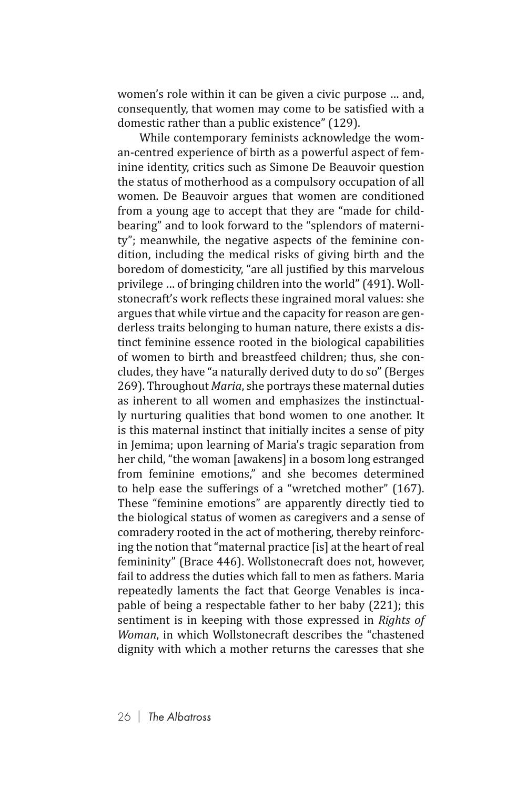women's role within it can be given a civic purpose … and, consequently, that women may come to be satisfied with a domestic rather than a public existence" (129).

While contemporary feminists acknowledge the woman-centred experience of birth as a powerful aspect of feminine identity, critics such as Simone De Beauvoir question the status of motherhood as a compulsory occupation of all women. De Beauvoir argues that women are conditioned from a young age to accept that they are "made for childbearing" and to look forward to the "splendors of maternity"; meanwhile, the negative aspects of the feminine condition, including the medical risks of giving birth and the boredom of domesticity, "are all justified by this marvelous privilege … of bringing children into the world" (491). Wollstonecraft's work reflects these ingrained moral values: she argues that while virtue and the capacity for reason are genderless traits belonging to human nature, there exists a distinct feminine essence rooted in the biological capabilities of women to birth and breastfeed children; thus, she concludes, they have "a naturally derived duty to do so" (Berges 269). Throughout *Maria*, she portrays these maternal duties as inherent to all women and emphasizes the instinctually nurturing qualities that bond women to one another. It is this maternal instinct that initially incites a sense of pity in Jemima; upon learning of Maria's tragic separation from her child, "the woman [awakens] in a bosom long estranged from feminine emotions," and she becomes determined to help ease the sufferings of a "wretched mother" (167). These "feminine emotions" are apparently directly tied to the biological status of women as caregivers and a sense of comradery rooted in the act of mothering, thereby reinforcing the notion that "maternal practice [is] at the heart of real femininity" (Brace 446). Wollstonecraft does not, however, fail to address the duties which fall to men as fathers. Maria repeatedly laments the fact that George Venables is incapable of being a respectable father to her baby (221); this sentiment is in keeping with those expressed in *Rights of Woman*, in which Wollstonecraft describes the "chastened dignity with which a mother returns the caresses that she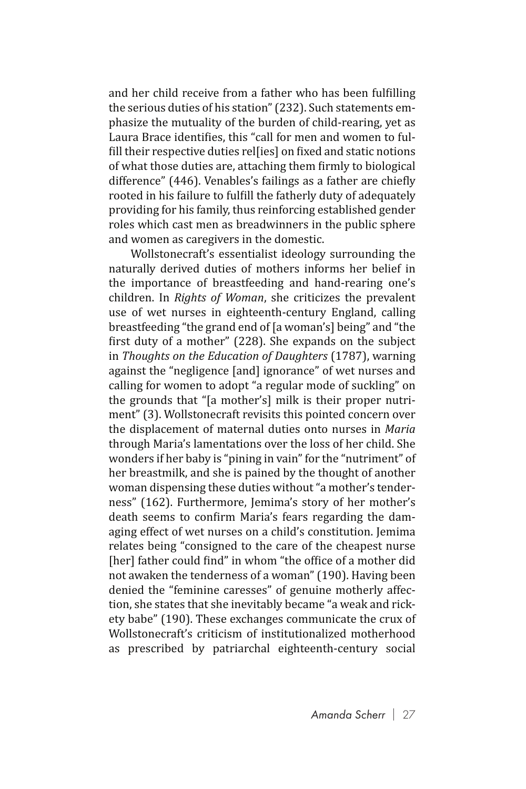and her child receive from a father who has been fulfilling the serious duties of his station" (232). Such statements emphasize the mutuality of the burden of child-rearing, yet as Laura Brace identifies, this "call for men and women to fulfill their respective duties rel[ies] on fixed and static notions of what those duties are, attaching them firmly to biological difference" (446). Venables's failings as a father are chiefly rooted in his failure to fulfill the fatherly duty of adequately providing for his family, thus reinforcing established gender roles which cast men as breadwinners in the public sphere and women as caregivers in the domestic.

Wollstonecraft's essentialist ideology surrounding the naturally derived duties of mothers informs her belief in the importance of breastfeeding and hand-rearing one's children. In *Rights of Woman*, she criticizes the prevalent use of wet nurses in eighteenth-century England, calling breastfeeding "the grand end of [a woman's] being" and "the first duty of a mother" (228). She expands on the subject in *Thoughts on the Education of Daughters* (1787), warning against the "negligence [and] ignorance" of wet nurses and calling for women to adopt "a regular mode of suckling" on the grounds that "[a mother's] milk is their proper nutriment" (3). Wollstonecraft revisits this pointed concern over the displacement of maternal duties onto nurses in *Maria* through Maria's lamentations over the loss of her child. She wonders if her baby is "pining in vain" for the "nutriment" of her breastmilk, and she is pained by the thought of another woman dispensing these duties without "a mother's tenderness" (162). Furthermore, Jemima's story of her mother's death seems to confirm Maria's fears regarding the damaging effect of wet nurses on a child's constitution. Jemima relates being "consigned to the care of the cheapest nurse [her] father could find" in whom "the office of a mother did not awaken the tenderness of a woman" (190). Having been denied the "feminine caresses" of genuine motherly affection, she states that she inevitably became "a weak and rickety babe" (190). These exchanges communicate the crux of Wollstonecraft's criticism of institutionalized motherhood as prescribed by patriarchal eighteenth-century social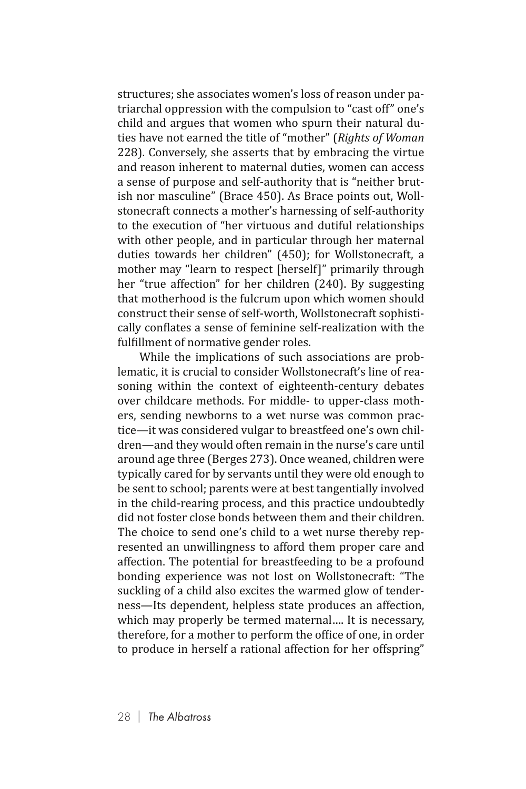structures; she associates women's loss of reason under patriarchal oppression with the compulsion to "cast off" one's child and argues that women who spurn their natural duties have not earned the title of "mother" (*Rights of Woman*  228). Conversely, she asserts that by embracing the virtue and reason inherent to maternal duties, women can access a sense of purpose and self-authority that is "neither brutish nor masculine" (Brace 450). As Brace points out, Wollstonecraft connects a mother's harnessing of self-authority to the execution of "her virtuous and dutiful relationships with other people, and in particular through her maternal duties towards her children" (450); for Wollstonecraft, a mother may "learn to respect [herself]" primarily through her "true affection" for her children (240). By suggesting that motherhood is the fulcrum upon which women should construct their sense of self-worth, Wollstonecraft sophistically conflates a sense of feminine self-realization with the fulfillment of normative gender roles.

While the implications of such associations are problematic, it is crucial to consider Wollstonecraft's line of reasoning within the context of eighteenth-century debates over childcare methods. For middle- to upper-class mothers, sending newborns to a wet nurse was common practice—it was considered vulgar to breastfeed one's own children—and they would often remain in the nurse's care until around age three (Berges 273). Once weaned, children were typically cared for by servants until they were old enough to be sent to school; parents were at best tangentially involved in the child-rearing process, and this practice undoubtedly did not foster close bonds between them and their children. The choice to send one's child to a wet nurse thereby represented an unwillingness to afford them proper care and affection. The potential for breastfeeding to be a profound bonding experience was not lost on Wollstonecraft: "The suckling of a child also excites the warmed glow of tenderness—Its dependent, helpless state produces an affection, which may properly be termed maternal…. It is necessary, therefore, for a mother to perform the office of one, in order to produce in herself a rational affection for her offspring"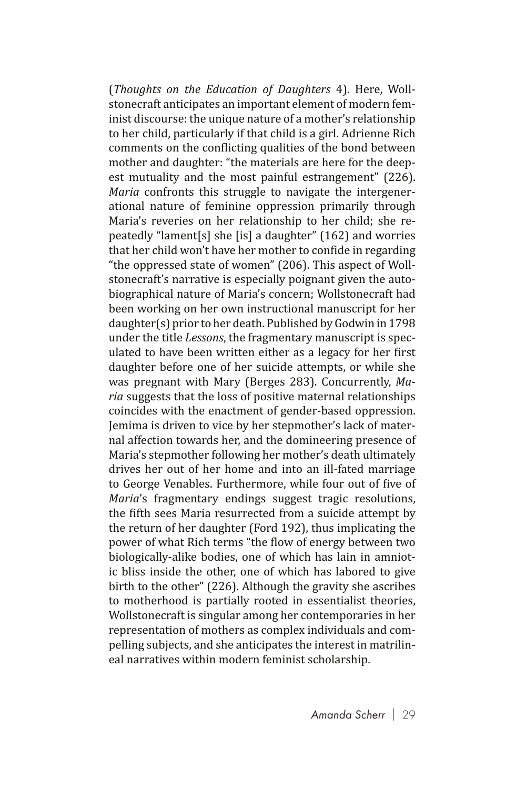(*Thoughts on the Education of Daughters* 4). Here, Wollstonecraft anticipates an important element of modern feminist discourse: the unique nature of a mother's relationship to her child, particularly if that child is a girl. Adrienne Rich comments on the conflicting qualities of the bond between mother and daughter: "the materials are here for the deepest mutuality and the most painful estrangement" (226). *Maria* confronts this struggle to navigate the intergenerational nature of feminine oppression primarily through Maria's reveries on her relationship to her child; she repeatedly "lament[s] she [is] a daughter" (162) and worries that her child won't have her mother to confide in regarding "the oppressed state of women" (206). This aspect of Wollstonecraft's narrative is especially poignant given the autobiographical nature of Maria's concern; Wollstonecraft had been working on her own instructional manuscript for her daughter(s) prior to her death. Published by Godwin in 1798 under the title *Lessons*, the fragmentary manuscript is speculated to have been written either as a legacy for her first daughter before one of her suicide attempts, or while she was pregnant with Mary (Berges 283). Concurrently, *Maria* suggests that the loss of positive maternal relationships coincides with the enactment of gender-based oppression. Jemima is driven to vice by her stepmother's lack of maternal affection towards her, and the domineering presence of Maria's stepmother following her mother's death ultimately drives her out of her home and into an ill-fated marriage to George Venables. Furthermore, while four out of five of *Maria*'s fragmentary endings suggest tragic resolutions, the fifth sees Maria resurrected from a suicide attempt by the return of her daughter (Ford 192), thus implicating the power of what Rich terms "the flow of energy between two biologically-alike bodies, one of which has lain in amniotic bliss inside the other, one of which has labored to give birth to the other" (226). Although the gravity she ascribes to motherhood is partially rooted in essentialist theories, Wollstonecraft is singular among her contemporaries in her representation of mothers as complex individuals and compelling subjects, and she anticipates the interest in matrilineal narratives within modern feminist scholarship.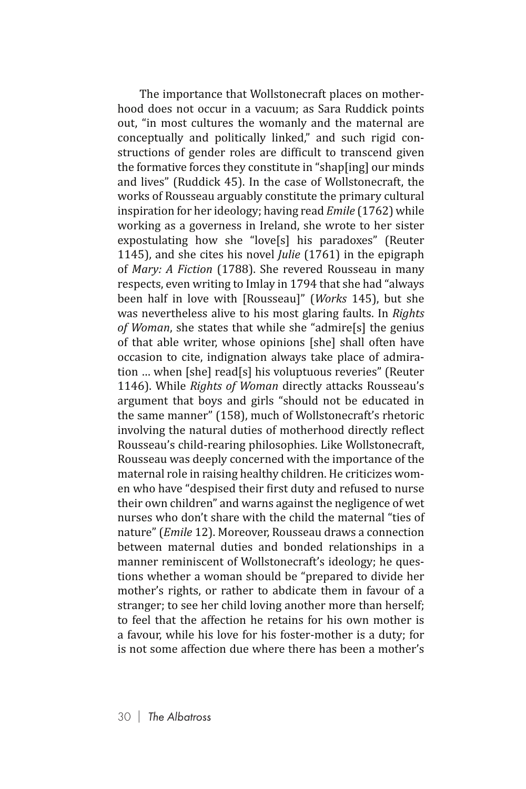The importance that Wollstonecraft places on motherhood does not occur in a vacuum; as Sara Ruddick points out, "in most cultures the womanly and the maternal are conceptually and politically linked," and such rigid constructions of gender roles are difficult to transcend given the formative forces they constitute in "shap[ing] our minds and lives" (Ruddick 45). In the case of Wollstonecraft, the works of Rousseau arguably constitute the primary cultural inspiration for her ideology; having read *Emile* (1762) while working as a governess in Ireland, she wrote to her sister expostulating how she "love[s] his paradoxes" (Reuter 1145), and she cites his novel *Julie* (1761) in the epigraph of *Mary: A Fiction* (1788). She revered Rousseau in many respects, even writing to Imlay in 1794 that she had "always been half in love with [Rousseau]" (*Works* 145), but she was nevertheless alive to his most glaring faults. In *Rights of Woman*, she states that while she "admire[s] the genius of that able writer, whose opinions [she] shall often have occasion to cite, indignation always take place of admiration … when [she] read[s] his voluptuous reveries" (Reuter 1146). While *Rights of Woman* directly attacks Rousseau's argument that boys and girls "should not be educated in the same manner" (158), much of Wollstonecraft's rhetoric involving the natural duties of motherhood directly reflect Rousseau's child-rearing philosophies. Like Wollstonecraft, Rousseau was deeply concerned with the importance of the maternal role in raising healthy children. He criticizes women who have "despised their first duty and refused to nurse their own children" and warns against the negligence of wet nurses who don't share with the child the maternal "ties of nature" (*Emile* 12). Moreover, Rousseau draws a connection between maternal duties and bonded relationships in a manner reminiscent of Wollstonecraft's ideology; he questions whether a woman should be "prepared to divide her mother's rights, or rather to abdicate them in favour of a stranger; to see her child loving another more than herself; to feel that the affection he retains for his own mother is a favour, while his love for his foster-mother is a duty; for is not some affection due where there has been a mother's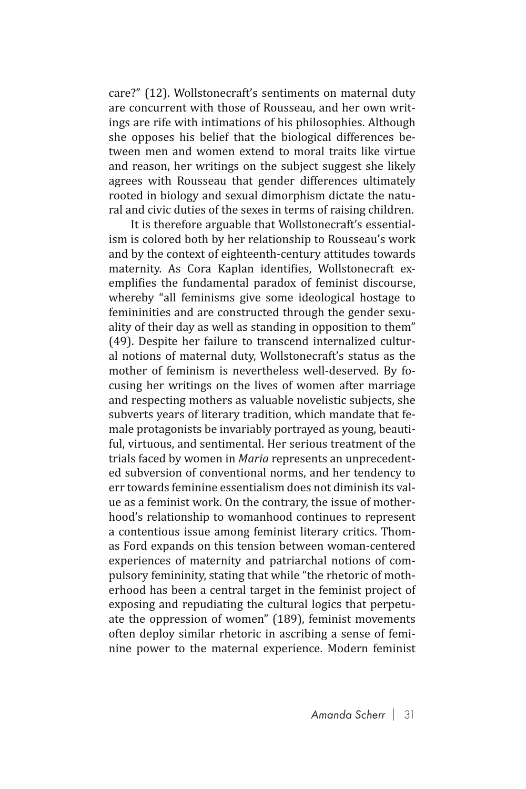care?" (12). Wollstonecraft's sentiments on maternal duty are concurrent with those of Rousseau, and her own writings are rife with intimations of his philosophies. Although she opposes his belief that the biological differences between men and women extend to moral traits like virtue and reason, her writings on the subject suggest she likely agrees with Rousseau that gender differences ultimately rooted in biology and sexual dimorphism dictate the natural and civic duties of the sexes in terms of raising children.

It is therefore arguable that Wollstonecraft's essentialism is colored both by her relationship to Rousseau's work and by the context of eighteenth-century attitudes towards maternity. As Cora Kaplan identifies, Wollstonecraft exemplifies the fundamental paradox of feminist discourse, whereby "all feminisms give some ideological hostage to femininities and are constructed through the gender sexuality of their day as well as standing in opposition to them" (49). Despite her failure to transcend internalized cultural notions of maternal duty, Wollstonecraft's status as the mother of feminism is nevertheless well-deserved. By focusing her writings on the lives of women after marriage and respecting mothers as valuable novelistic subjects, she subverts years of literary tradition, which mandate that female protagonists be invariably portrayed as young, beautiful, virtuous, and sentimental. Her serious treatment of the trials faced by women in *Maria* represents an unprecedented subversion of conventional norms, and her tendency to err towards feminine essentialism does not diminish its value as a feminist work. On the contrary, the issue of motherhood's relationship to womanhood continues to represent a contentious issue among feminist literary critics. Thomas Ford expands on this tension between woman-centered experiences of maternity and patriarchal notions of compulsory femininity, stating that while "the rhetoric of motherhood has been a central target in the feminist project of exposing and repudiating the cultural logics that perpetuate the oppression of women" (189), feminist movements often deploy similar rhetoric in ascribing a sense of feminine power to the maternal experience. Modern feminist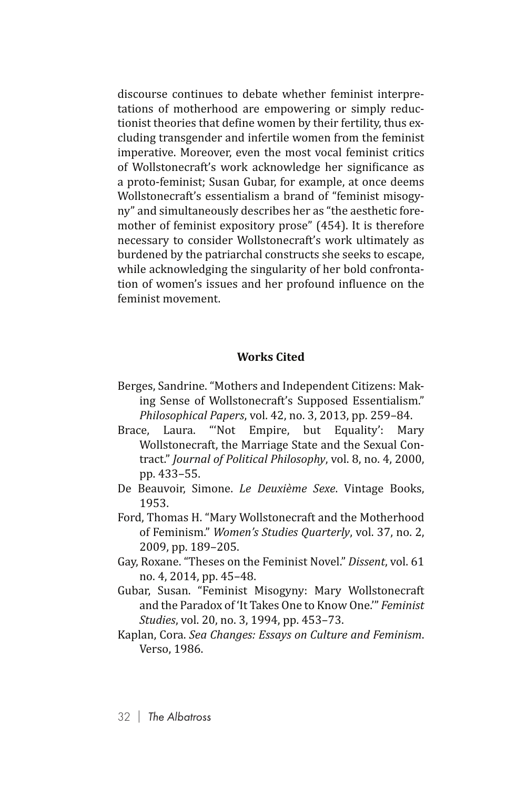discourse continues to debate whether feminist interpretations of motherhood are empowering or simply reductionist theories that define women by their fertility, thus excluding transgender and infertile women from the feminist imperative. Moreover, even the most vocal feminist critics of Wollstonecraft's work acknowledge her significance as a proto-feminist; Susan Gubar, for example, at once deems Wollstonecraft's essentialism a brand of "feminist misogyny" and simultaneously describes her as "the aesthetic foremother of feminist expository prose" (454). It is therefore necessary to consider Wollstonecraft's work ultimately as burdened by the patriarchal constructs she seeks to escape, while acknowledging the singularity of her bold confrontation of women's issues and her profound influence on the feminist movement.

## **Works Cited**

- Berges, Sandrine. "Mothers and Independent Citizens: Making Sense of Wollstonecraft's Supposed Essentialism." *Philosophical Papers*, vol. 42, no. 3, 2013, pp. 259–84.
- Brace, Laura. "'Not Empire, but Equality': Mary Wollstonecraft, the Marriage State and the Sexual Contract." *Journal of Political Philosophy*, vol. 8, no. 4, 2000, pp. 433–55.
- De Beauvoir, Simone. *Le Deuxième Sexe*. Vintage Books, 1953.
- Ford, Thomas H. "Mary Wollstonecraft and the Motherhood of Feminism." *Women's Studies Quarterly*, vol. 37, no. 2, 2009, pp. 189–205.
- Gay, Roxane. "Theses on the Feminist Novel." *Dissent*, vol. 61 no. 4, 2014, pp. 45–48.
- Gubar, Susan. "Feminist Misogyny: Mary Wollstonecraft and the Paradox of 'It Takes One to Know One.'" *Feminist Studies*, vol. 20, no. 3, 1994, pp. 453–73.
- Kaplan, Cora. *Sea Changes: Essays on Culture and Feminism*. Verso, 1986.